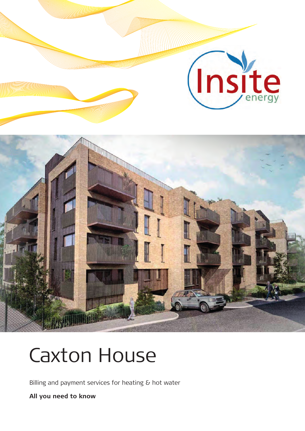

# Caxton House

Billing and payment services for heating & hot water

**All you need to know**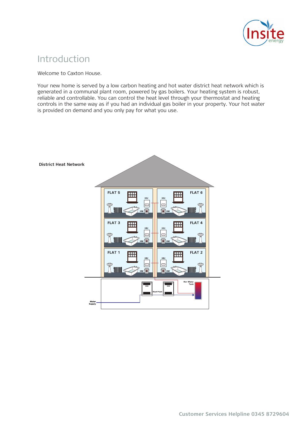

# Introduction

Welcome to Caxton House.

Your new home is served by a low carbon heating and hot water district heat network which is generated in a communal plant room, powered by gas boilers. Your heating system is robust, reliable and controllable. You can control the heat level through your thermostat and heating controls in the same way as if you had an individual gas boiler in your property. Your hot water is provided on demand and you only pay for what you use.

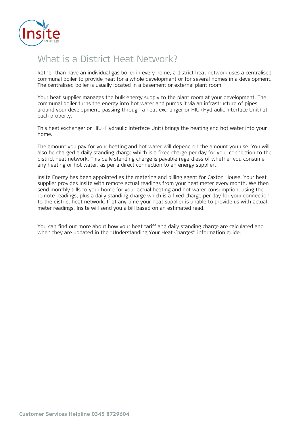

# What is a District Heat Network?

Rather than have an individual gas boiler in every home, a district heat network uses a centralised communal boiler to provide heat for a whole development or for several homes in a development. The centralised boiler is usually located in a basement or external plant room.

Your heat supplier manages the bulk energy supply to the plant room at your development. The communal boiler turns the energy into hot water and pumps it via an infrastructure of pipes around your development, passing through a heat exchanger or HIU (Hydraulic Interface Unit) at each property.

This heat exchanger or HIU (Hydraulic Interface Unit) brings the heating and hot water into your home.

The amount you pay for your heating and hot water will depend on the amount you use. You will also be charged a daily standing charge which is a fixed charge per day for your connection to the district heat network. This daily standing charge is payable regardless of whether you consume any heating or hot water, as per a direct connection to an energy supplier.

Insite Energy has been appointed as the metering and billing agent for Caxton House. Your heat supplier provides Insite with remote actual readings from your heat meter every month. We then send monthly bills to your home for your actual heating and hot water consumption, using the remote readings, plus a daily standing charge which is a fixed charge per day for your connection to the district heat network. If at any time your heat supplier is unable to provide us with actual meter readings, Insite will send you a bill based on an estimated read.

You can find out more about how your heat tariff and daily standing charge are calculated and when they are updated in the "Understanding Your Heat Charges" information guide.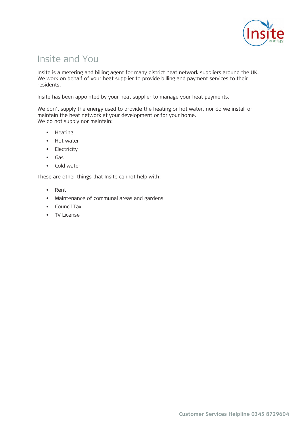

# Insite and You

Insite is a metering and billing agent for many district heat network suppliers around the UK. We work on behalf of your heat supplier to provide billing and payment services to their residents.

Insite has been appointed by your heat supplier to manage your heat payments.

We don't supply the energy used to provide the heating or hot water, nor do we install or maintain the heat network at your development or for your home. We do not supply nor maintain:

- Heating
- Hot water
- Electricity
- Gas
- Cold water

These are other things that Insite cannot help with:

- Rent
- Maintenance of communal areas and gardens
- Council Tax
- TV License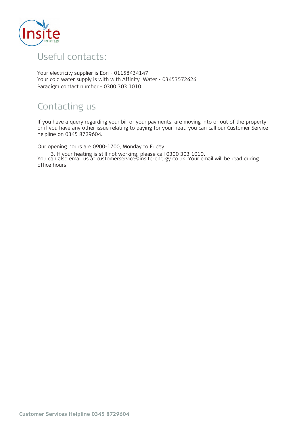

# Useful contacts: Useful contacts:

Your electricity supplier is Eon - 01158434147 Your cold water supply is with with Affinity Water - 03453572424 Paradigm contact number - 0300 303 1010.

# Contacting us Contacting us

If you have a query regarding your bill or your payments, are moving into or out of the property or if you have any other issue relating to paying for your heat, you can call our Customer Service helpline on 0345 8729604.

Our opening hours are 0900-1700, Monday to Friday.

You can also email us at customerservice@insite-energy.co.uk. Your email will be read during office hours. 3. If your heating is still not working, please call 0300 303 1010.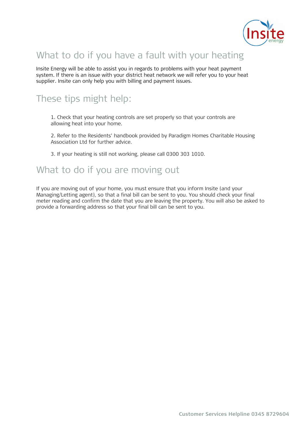

# What to do if you have a fault with your heating

Insite Energy will be able to assist you in regards to problems with your heat payment system. If there is an issue with your district heat network we will refer you to your heat supplier. Insite can only help you with billing and payment issues.

# These tips might help:

1. Check that your heating controls are set properly so that your controls are allowing heat into your home.

2. Refer to the Residents' handbook provided by Paradigm Homes Charitable Housing Association Ltd for further advice.

3. If your heating is still not working, please call 0300 303 1010.

### What to do if you are moving out

If you are moving out of your home, you must ensure that you inform Insite (and your Managing/Letting agent), so that a final bill can be sent to you. You should check your final meter reading and confirm the date that you are leaving the property. You will also be asked to provide a forwarding address so that your final bill can be sent to you.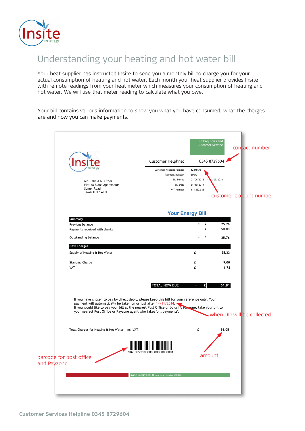

# Understanding your heating and hot water bill

Your heat supplier has instructed Insite to send you a monthly bill to charge you for your actual consumption of heating and hot water. Each month your heat supplier provides Insite with remote readings from your heat meter which measures your consumption of heating and hot water. We will use that meter reading to calculate what you owe.

Your bill contains various information to show you what you have consumed, what the charges are and how you can make payments.

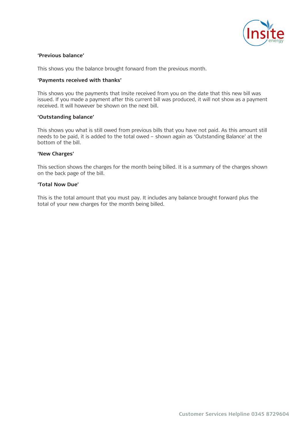

#### **'Previous balance'**

This shows you the balance brought forward from the previous month.

#### **'Payments received with thanks'**

This shows you the payments that Insite received from you on the date that this new bill was issued. If you made a payment after this current bill was produced, it will not show as a payment received. It will however be shown on the next bill.

#### **'Outstanding balance'**

This shows you what is still owed from previous bills that you have not paid. As this amount still needs to be paid, it is added to the total owed – shown again as 'Outstanding Balance' at the bottom of the bill.

#### **'New Charges'**

This section shows the charges for the month being billed. It is a summary of the charges shown on the back page of the bill.

#### **'Total Now Due'**

This is the total amount that you must pay. It includes any balance brought forward plus the total of your new charges for the month being billed.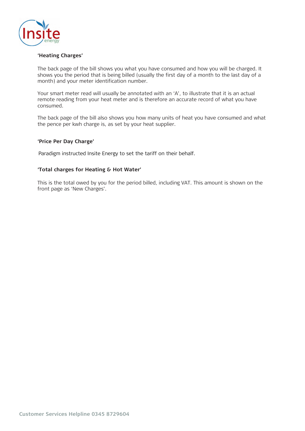

#### **'Heating Charges'**

The back page of the bill shows you what you have consumed and how you will be charged. It shows you the period that is being billed (usually the first day of a month to the last day of a month) and your meter identification number.

Your smart meter read will usually be annotated with an 'A', to illustrate that it is an actual remote reading from your heat meter and is therefore an accurate record of what you have consumed.

The back page of the bill also shows you how many units of heat you have consumed and what the pence per kwh charge is, as set by your heat supplier.

#### **'Price Per Day Charge'**

Paradigm instructed Insite Energy to set the tariff on their behalf.

#### **'Total charges for Heating & Hot Water'**

This is the total owed by you for the period billed, including VAT. This amount is shown on the front page as 'New Charges'.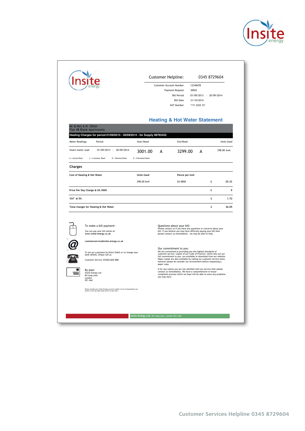

|                                                                                                                              |                                                       |   | Customer Helpline:<br>Customer Account Number<br>Payment Request<br>30043<br><b>Bill Period</b><br><b>Bill Date</b><br>VAT Number                                                                                                                                                                                                                                                             | 12345678<br>01/09/2013 - 30/09/2014<br>31/10/2014<br>"111 2222 33" | 0345 8729604 |                   |  |
|------------------------------------------------------------------------------------------------------------------------------|-------------------------------------------------------|---|-----------------------------------------------------------------------------------------------------------------------------------------------------------------------------------------------------------------------------------------------------------------------------------------------------------------------------------------------------------------------------------------------|--------------------------------------------------------------------|--------------|-------------------|--|
| Mr & Mrs A.N. Other<br>Flat 48 Blank Apartments<br>Heating Charges for period 01/09/2013 - 30/09/2014 - for Supply 98765432  |                                                       |   | <b>Heating &amp; Hot Water Statement</b>                                                                                                                                                                                                                                                                                                                                                      |                                                                    |              |                   |  |
| Meter Readings<br>Period                                                                                                     | <b>Start Read</b>                                     |   | End Read                                                                                                                                                                                                                                                                                                                                                                                      |                                                                    |              | <b>Units Used</b> |  |
| Smart meter read<br>01/09/2013 - 30/09/2014<br>A - Actual Read<br>C = Customer Read<br>D = Deemed Read                       | 3001.00<br>E - Estimated Read                         | А | 3299.00                                                                                                                                                                                                                                                                                                                                                                                       | А                                                                  |              | 298.00 kwh        |  |
| <b>Charges</b>                                                                                                               |                                                       |   |                                                                                                                                                                                                                                                                                                                                                                                               |                                                                    |              |                   |  |
| Cost of Heating & Hot Water                                                                                                  | <b>Units Used</b>                                     |   | Pence per kwh                                                                                                                                                                                                                                                                                                                                                                                 |                                                                    |              |                   |  |
|                                                                                                                              | 298.00 kwh                                            |   | £0.0850                                                                                                                                                                                                                                                                                                                                                                                       |                                                                    | £            | 25.33             |  |
| Price Per Day Charge @ £0,3000                                                                                               |                                                       |   |                                                                                                                                                                                                                                                                                                                                                                                               |                                                                    | £            | 9                 |  |
| VAT @ 5%                                                                                                                     |                                                       |   |                                                                                                                                                                                                                                                                                                                                                                                               |                                                                    | £            | 1.72              |  |
| Total charges for Heating & Hot Water                                                                                        |                                                       |   |                                                                                                                                                                                                                                                                                                                                                                                               |                                                                    | £            | 36.05             |  |
| To make a bill payment:<br>You can pay your bill online at:<br>www.insite-energy.co.uk                                       |                                                       |   | Questions about your bill:<br>Please contact us if you have any questions or concerns about your<br>bill. If you believe you may have difficulty paying your bill then<br>please contact us immediately - we may be able to help.                                                                                                                                                             |                                                                    |              |                   |  |
| customerservice@insite-energy.co.uk<br>bank details, simply call us.<br>Customer Service: 01322 623 XXX                      | To set up a payment by Direct Debit or to change your |   | Our commitment to you:<br>We are committed to providing you the highest standards of<br>customer service. Copies of our Code of Practice, which sets out our<br>full commitment to you, are available to download from our website.<br>Paper copies are also available by calling our customer service team,<br>however please do consider our environment before requesting a<br>paper copy. |                                                                    |              |                   |  |
| By post:<br>Insite Energy Ltd<br>84 Long Lane<br>London<br>SE1 4AU                                                           |                                                       |   | If for any reason you are not satisfied with our service then please<br>contact us immediately. We have a comprehensive in-house<br>complaints process which we hope will be able to solve any problems<br>you may have.                                                                                                                                                                      |                                                                    |              |                   |  |
|                                                                                                                              |                                                       |   |                                                                                                                                                                                                                                                                                                                                                                                               |                                                                    |              |                   |  |
| Please include your Insite Energy account number on all correspondence (as shown in the top right hand corner of your bill.) |                                                       |   |                                                                                                                                                                                                                                                                                                                                                                                               |                                                                    |              |                   |  |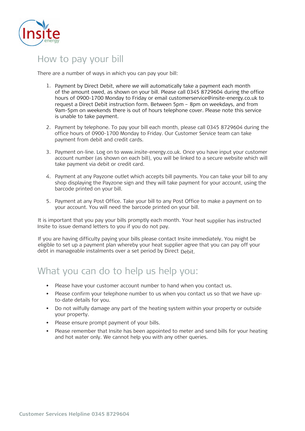

### How to pay your bill

There are a number of ways in which you can pay your bill:

- 1. Payment by Direct Debit, where we will automatically take a payment each month of the amount owed, as shown on your bill. Please call 0345 8729604 during the office hours of 0900-1700 Monday to Friday or email customerservice@insite-energy.co.uk to request a Direct Debit instruction form. Between 5pm – 8pm on weekdays, and from 9am-5pm on weekends there is out of hours telephone cover. Please note this service is unable to take payment.
- 2. Payment by telephone. To pay your bill each month, please call 0345 8729604 during the office hours of 0900-1700 Monday to Friday. Our Customer Service team can take payment from debit and credit cards.
- 3. Payment on-line. Log on to www.insite-energy.co.uk. Once you have input your customer account number (as shown on each bill), you will be linked to a secure website which will take payment via debit or credit card.
- 4. Payment at any Payzone outlet which accepts bill payments. You can take your bill to any shop displaying the Payzone sign and they will take payment for your account, using the barcode printed on your bill.
- 5. Payment at any Post Office. Take your bill to any Post Office to make a payment on to your account. You will need the barcode printed on your bill.

It is important that you pay your bills promptly each month. Your heat supplier has instructed Insite to issue demand letters to you if you do not pay.

If you are having difficulty paying your bills please contact Insite immediately. You might be eligible to set up a payment plan whereby your heat supplier agree that you can pay off your debt in manageable instalments over a set period by Direct Debit.

# What you can do to help us help you:

- Please have your customer account number to hand when you contact us.
- Please confirm your telephone number to us when you contact us so that we have upto-date details for you.
- Do not wilfully damage any part of the heating system within your property or outside your property.
- Please ensure prompt payment of your bills.
- Please remember that Insite has been appointed to meter and send bills for your heating and hot water only. We cannot help you with any other queries.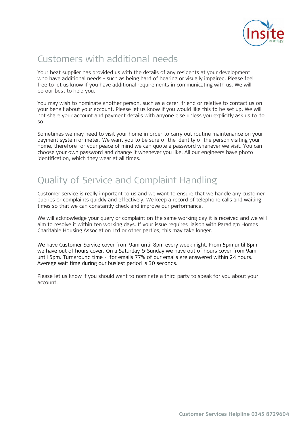

# Customers with additional needs

Your heat supplier has provided us with the details of any residents at your development who have additional needs - such as being hard of hearing or visually impaired. Please feel free to let us know if you have additional requirements in communicating with us. We will do our best to help you.

You may wish to nominate another person, such as a carer, friend or relative to contact us on your behalf about your account. Please let us know if you would like this to be set up. We will not share your account and payment details with anyone else unless you explicitly ask us to do so.

Sometimes we may need to visit your home in order to carry out routine maintenance on your payment system or meter. We want you to be sure of the identity of the person visiting your home, therefore for your peace of mind we can quote a password whenever we visit. You can choose your own password and change it whenever you like. All our engineers have photo identification, which they wear at all times.

# Quality of Service and Complaint Handling

Customer service is really important to us and we want to ensure that we handle any customer Customer service is really important to us and we want to ensure that we handle any customer queries or complaints quickly and effectively. We keep a record of telephone calls and waiting queries or complaints quickly and effectively. We keep a record of telephone calls and waiting times so that we can constantly check and improve our performance. times so that we can constantly check and improve our performance.

We will acknowledge your query or complaint on the same working day it is received and we will We will acknowledge your query or complaint on the same working day it is received and we will aim to resolve it within ten working days. If your issue requires liaison with Paradigm Homes Charitable Housing Association Ltd or other parties, this may take longer.

We have Customer Service cover from 9am until 8pm every week night. From 5pm until 8pm we have out of hours cover. On a Saturday & Sunday we have out of hours cover from 9am until 5pm. Turnaround time - for emails 77% of our emails are answered within 24 hours. Average wait time during our busiest period is 30 seconds.

Please let us know if you should want to nominate a third party to speak for you about your account.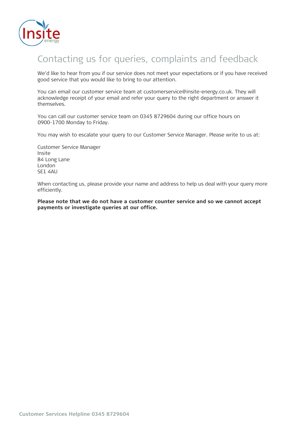

# Contacting us for queries, complaints and feedback

We'd like to hear from you if our service does not meet your expectations or if you have received good service that you would like to bring to our attention.

You can email our customer service team at customerservice@insite-energy.co.uk. They will acknowledge receipt of your email and refer your query to the right department or answer it themselves.

You can call our customer service team on o You can call our customer service team on 0345 8729604 during our office hours on 1700 Monday to Friday. 0900-1700 Monday to Friday.

You may wish to escalate your query to our Customer Service Manager. Please write to us at:

Customer Service Manager Insite 84 Long Lane London SE1 4AU

When contacting us, please provide your name and address to help us deal with your query more efficiently.

**Please note that we do not have a customer counter service and so we cannot accept payments or investigate queries at our office.**